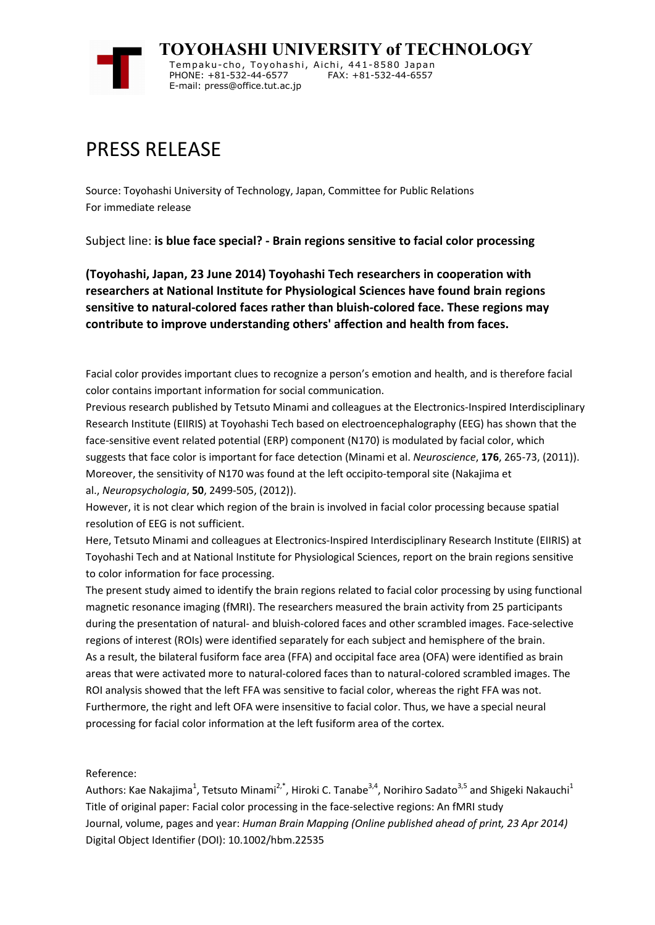

## PRESS RELEASE

Source: Toyohashi University of Technology, Japan, Committee for Public Relations For immediate release

Subject line: **is blue face special? - Brain regions sensitive to facial color processing**

**(Toyohashi, Japan, 23 June 2014) Toyohashi Tech researchers in cooperation with researchers at National Institute for Physiological Sciences have found brain regions sensitive to natural-colored faces rather than bluish-colored face. These regions may contribute to improve understanding others' affection and health from faces.**

Facial color provides important clues to recognize a person's emotion and health, and is therefore facial color contains important information for social communication.

Previous research published by Tetsuto Minami and colleagues at the Electronics-Inspired Interdisciplinary Research Institute (EIIRIS) at Toyohashi Tech based on electroencephalography (EEG) has shown that the face-sensitive event related potential (ERP) component (N170) is modulated by facial color, which suggests that face color is important for face detection (Minami et al. *Neuroscience*, **176**, 265-73, (2011)). Moreover, the sensitivity of N170 was found at the left occipito-temporal site (Nakajima et al., *Neuropsychologia*, **50**, 2499-505, (2012)).

However, it is not clear which region of the brain is involved in facial color processing because spatial resolution of EEG is not sufficient.

Here, Tetsuto Minami and colleagues at Electronics-Inspired Interdisciplinary Research Institute (EIIRIS) at Toyohashi Tech and at National Institute for Physiological Sciences, report on the brain regions sensitive to color information for face processing.

The present study aimed to identify the brain regions related to facial color processing by using functional magnetic resonance imaging (fMRI). The researchers measured the brain activity from 25 participants during the presentation of natural- and bluish-colored faces and other scrambled images. Face-selective regions of interest (ROIs) were identified separately for each subject and hemisphere of the brain. As a result, the bilateral fusiform face area (FFA) and occipital face area (OFA) were identified as brain areas that were activated more to natural-colored faces than to natural-colored scrambled images. The ROI analysis showed that the left FFA was sensitive to facial color, whereas the right FFA was not. Furthermore, the right and left OFA were insensitive to facial color. Thus, we have a special neural processing for facial color information at the left fusiform area of the cortex.

Reference:

Authors: Kae Nakajima<sup>1</sup>, Tetsuto Minami<sup>2,\*</sup>, Hiroki C. Tanabe<sup>3,4</sup>, Norihiro Sadato<sup>3,5</sup> and Shigeki Nakauchi<sup>1</sup> Title of original paper: Facial color processing in the face-selective regions: An fMRI study Journal, volume, pages and year: *Human Brain Mapping (Online published ahead of print, 23 Apr 2014)* Digital Object Identifier (DOI): 10.1002/hbm.22535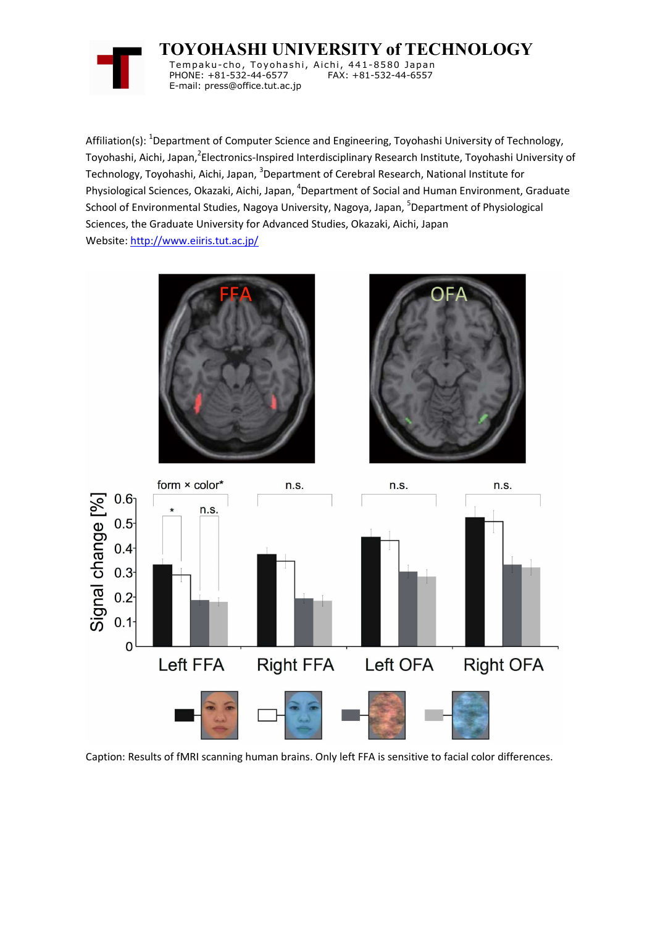

**TOYOHASHI UNIVERSITY of TECHNOLOGY**

Tempaku-cho, Toyohashi, Aichi, 441-8580 Japan PHONE: +81-532-44-6577 E-mail: press@office.tut.ac.jp

Affiliation(s): <sup>1</sup>Department of Computer Science and Engineering, Toyohashi University of Technology, Toyohashi, Aichi, Japan,<sup>2</sup>Electronics-Inspired Interdisciplinary Research Institute, Toyohashi University of Technology, Toyohashi, Aichi, Japan, <sup>3</sup>Department of Cerebral Research, National Institute for Physiological Sciences, Okazaki, Aichi, Japan, <sup>4</sup>Department of Social and Human Environment, Graduate School of Environmental Studies, Nagoya University, Nagoya, Japan, <sup>5</sup>Department of Physiological Sciences, the Graduate University for Advanced Studies, Okazaki, Aichi, Japan Website: http://www.eiiris.tut.ac.jp/



Caption: Results of fMRI scanning human brains. Only left FFA is sensitive to facial color differences.